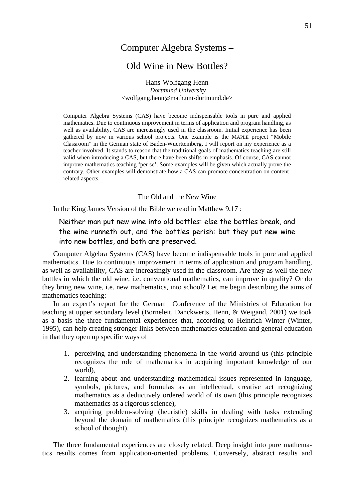# Computer Algebra Systems –

# Old Wine in New Bottles?

Hans-Wolfgang Henn  *Dortmund University*  <wolfgang.henn@math.uni-dortmund.de>

Computer Algebra Systems (CAS) have become indispensable tools in pure and applied mathematics. Due to continuous improvement in terms of application and program handling, as well as availability, CAS are increasingly used in the classroom. Initial experience has been gathered by now in various school projects. One example is the MAPLE project "Mobile Classroom" in the German state of Baden-Wuerttemberg. I will report on my experience as a teacher involved. It stands to reason that the traditional goals of mathematics teaching are still valid when introducing a CAS, but there have been shifts in emphasis. Of course, CAS cannot improve mathematics teaching 'per se'. Some examples will be given which actually prove the contrary. Other examples will demonstrate how a CAS can promote concentration on contentrelated aspects.

#### The Old and the New Wine

In the King James Version of the Bible we read in Matthew 9,17 :

Neither man put new wine into old bottles: else the bottles break, and the wine runneth out, and the bottles perish: but they put new wine into new bottles, and both are preserved.

Computer Algebra Systems (CAS) have become indispensable tools in pure and applied mathematics. Due to continuous improvement in terms of application and program handling, as well as availability, CAS are increasingly used in the classroom. Are they as well the new bottles in which the old wine, i.e. conventional mathematics, can improve in quality? Or do they bring new wine, i.e. new mathematics, into school? Let me begin describing the aims of mathematics teaching:

In an expert's report for the German Conference of the Ministries of Education for teaching at upper secondary level (Borneleit, Danckwerts, Henn, & Weigand, 2001) we took as a basis the three fundamental experiences that, according to Heinrich Winter (Winter, 1995), can help creating stronger links between mathematics education and general education in that they open up specific ways of

- 1. perceiving and understanding phenomena in the world around us (this principle recognizes the role of mathematics in acquiring important knowledge of our world),
- 2. learning about and understanding mathematical issues represented in language, symbols, pictures, and formulas as an intellectual, creative act recognizing mathematics as a deductively ordered world of its own (this principle recognizes mathematics as a rigorous science),
- 3. acquiring problem-solving (heuristic) skills in dealing with tasks extending beyond the domain of mathematics (this principle recognizes mathematics as a school of thought).

The three fundamental experiences are closely related. Deep insight into pure mathematics results comes from application-oriented problems. Conversely, abstract results and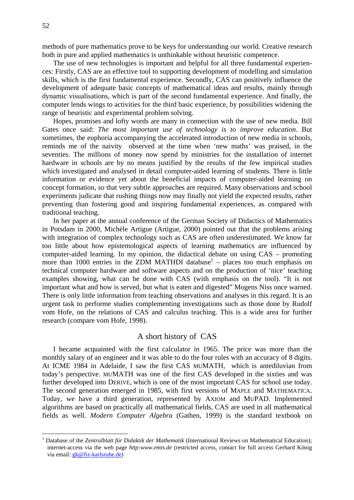methods of pure mathematics prove to be keys for understanding our world. Creative research both in pure and applied mathematics is unthinkable without heuristic competence.

The use of new technologies is important and helpful for all three fundamental experiences: Firstly, CAS are an effective tool to supporting development of modelling and simulation skills, which is the first fundamental experience. Secondly, CAS can positively influence the development of adequate basic concepts of mathematical ideas and results, mainly through dynamic visualisations, which is part of the second fundamental experience. And finally, the computer lends wings to activities for the third basic experience, by possibilities widening the range of heuristic and experimental problem solving.

Hopes, promises and lofty words are many in connection with the use of new media. Bill Gates once said: *The most important use of technology is to improve education*. But sometimes, the euphoria accompanying the accelerated introduction of new media in schools, reminds me of the naivity observed at the time when 'new maths' was praised, in the seventies. The millions of money now spend by ministries for the installation of internet hardware in schools are by no means justified by the results of the few impirical studies which investigated and analysed in detail computer-aided learning of students. There is little information or evidence yet about the beneficial impacts of computer-aided learning on concept formation, so that very subtle approaches are required. Many observations and school experiments judicate that rushing things now may finally not yield the expected results, rather preventing than fostering good and inspiring fundamental experiences, as compared with traditional teaching.

In her paper at the annual conference of the German Society of Didactics of Mathematics in Potsdam in 2000, Michèle Artigue (Artigue, 2000) pointed out that the problems arising with integration of complex technology such as CAS are often underestimated. We know far too little about how epistemological aspects of learning mathematics are influenced by computer-aided learning. In my opinion, the didactical debate on using CAS – promoting more than [1](#page-1-0)000 entries in the ZDM MATHDI database<sup>1</sup> – places too much emphasis on technical computer hardware and software aspects and on the production of 'nice' teaching examples showing, what can be done with CAS (with emphasis on the tool). "It is not important what and how is served, but what is eaten and digested" Mogens Niss once warned. There is only little information from teaching observations and analyses in this regard. It is an urgent task to performe studies complementing investigations such as those done by Rudolf vom Hofe, on the relations of CAS and calculus teaching. This is a wide area for further research (compare vom Hofe, 1998).

# A short history of CAS

I became acquainted with the first calculator in 1965. The price was more than the monthly salary of an engineer and it was able to do the four rules with an accuracy of 8 digits. At ICME 1984 in Adelaide, I saw the first CAS MUMATH, which is antediluvian from today's perspective. MUMATH was one of the first CAS developed in the sixties and was further developed into DERIVE, which is one of the most important CAS for school use today. The second generation emerged in 1985, with first versions of MAPLE and MATHEMATICA. Today, we have a third generation, represented by AXIOM and MUPAD. Implemented algorithms are based on practically all mathematical fields, CAS are used in all mathematical fields as well. *Modern Computer Algebra* (Gathen, 1999) is the standard textbook on

 $\overline{a}$ 

<span id="page-1-0"></span><sup>&</sup>lt;sup>1</sup> Database of the *Zentralblatt für Didaktik der Mathematik* (International Reviews on Mathematical Education); internet-access via the web page *http:www.emis.de* (restricted access, contact for full access Gerhard König via email: [gk@fiz-karlsruhe.de](mailto:gk@fiz-karlsruhe.de))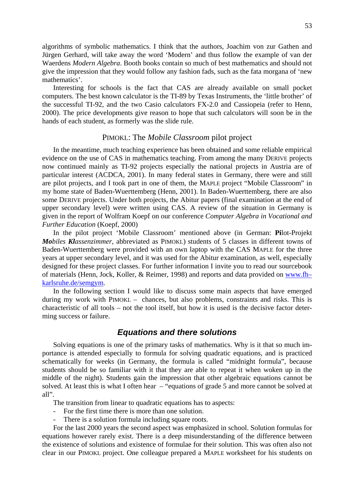algorithms of symbolic mathematics. I think that the authors, Joachim von zur Gathen and Jürgen Gerhard, will take away the word 'Modern' and thus follow the example of van der Waerdens *Modern Algebra*. Booth books contain so much of best mathematics and should not give the impression that they would follow any fashion fads, such as the fata morgana of 'new mathematics'.

Interesting for schools is the fact that CAS are already available on small pocket computers. The best known calculator is the TI-89 by Texas Instruments, the 'little brother' of the successful TI-92, and the two Casio calculators FX-2.0 and Cassiopeia (refer to Henn, 2000). The price developments give reason to hope that such calculators will soon be in the hands of each student, as formerly was the slide rule.

#### PIMOKL: The *Mobile Classroom* pilot project

In the meantime, much teaching experience has been obtained and some reliable empirical evidence on the use of CAS in mathematics teaching. From among the many DERIVE projects now continued mainly as TI-92 projects especially the national projects in Austria are of particular interest (ACDCA, 2001). In many federal states in Germany, there were and still are pilot projects, and I took part in one of them, the MAPLE project "Mobile Classroom" in my home state of Baden-Wuerttemberg (Henn, 2001). In Baden-Wuerttemberg, there are also some DERIVE projects. Under both projects, the Abitur papers (final examination at the end of upper secondary level) were written using CAS. A review of the situation in Germany is given in the report of Wolfram Koepf on our conference *Computer Algebra in Vocational and Further Education* (Koepf, 2000)

In the pilot project 'Mobile Classroom' mentioned above (in German: **Pi**lot-Projekt *Mobiles Klassenzimmer*, abbreviated as PIMOKL) students of 5 classes in different towns of Baden-Wuerttemberg were provided with an own laptop with the CAS MAPLE for the three years at upper secondary level, and it was used for the Abitur examination, as well, especially designed for these project classes. For further information I invite you to read our sourcebook of materials (Henn, Jock, Koller, & Reimer, 1998) and reports and data provided on [www.fh–](http://www.fh�karlsruhe.de/semgym) [karlsruhe.de/semgym.](http://www.fh�karlsruhe.de/semgym)

In the following section I would like to discuss some main aspects that have emerged during my work with PIMOKL – chances, but also problems, constraints and risks. This is characteristic of all tools – not the tool itself, but how it is used is the decisive factor determing success or failure.

### *Equations and there solutions*

Solving equations is one of the primary tasks of mathematics. Why is it that so much importance is attended especially to formula for solving quadratic equations, and is practiced schematically for weeks (in Germany, the formula is called "midnight formula", because students should be so familiar with it that they are able to repeat it when woken up in the middle of the night). Students gain the impression that other algebraic equations cannot be solved. At least this is what I often hear – "equations of grade 5 and more cannot be solved at all".

The transition from linear to quadratic equations has to aspects:

- For the first time there is more than one solution.
- There is a solution formula including square roots.

For the last 2000 years the second aspect was emphasized in school. Solution formulas for equations however rarely exist. There is a deep misunderstanding of the difference between the existence of solutions and existence of formulae for their solution. This was often also not clear in our PIMOKL project. One colleague prepared a MAPLE worksheet for his students on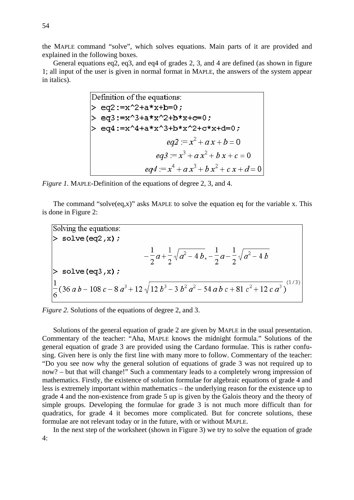the MAPLE command "solve", which solves equations. Main parts of it are provided and explained in the following boxes.

General equations eq2, eq3, and eq4 of grades 2, 3, and 4 are defined (as shown in figure 1; all input of the user is given in normal format in MAPLE, the answers of the system appear in italics).

Definition of the equations:

\n
$$
> eq2 := x^2 + a*x + b = 0;
$$
\n
$$
> eq3 := x^3 + a*x^2 + b*x + c = 0;
$$
\n
$$
> eq4 := x^4 + a*x^3 + b*x^2 + c*x + d = 0;
$$
\n
$$
eq2 := x^2 + a x + b = 0
$$
\n
$$
eq3 := x^3 + a x^2 + b x + c = 0
$$
\n
$$
eq4 := x^4 + a x^3 + b x^2 + c x + d = 0
$$

*Figure 1.* MAPLE-Definition of the equations of degree 2, 3, and 4.

The command "solve $(eq,x)$ " asks MAPLE to solve the equation eq for the variable x. This is done in Figure 2:

Solving the equations:  
\n
$$
\left.\begin{aligned}\n&> \text{solve (eq2,x)}; \\
&- \frac{1}{2}a + \frac{1}{2}\sqrt{a^2 - 4b}, -\frac{1}{2}a - \frac{1}{2}\sqrt{a^2 - 4b}\n\end{aligned}\right.
$$
\n
$$
\left.\begin{aligned}\n&\text{solve (eq3,x)}; \\
&\frac{1}{6}(36ab - 108c - 8a^3 + 12\sqrt{12b^3 - 3b^2a^2 - 54abc + 81c^2 + 12ca^3})^{(1/3)}\n\end{aligned}\right.
$$

*Figure 2.* Solutions of the equations of degree 2, and 3.

Solutions of the general equation of grade 2 are given by MAPLE in the usual presentation. Commentary of the teacher: "Aha, MAPLE knows the midnight formula." Solutions of the general equation of grade 3 are provided using the Cardano formulae. This is rather confusing. Given here is only the first line with many more to follow. Commentary of the teacher: "Do you see now why the general solution of equations of grade 3 was not required up to now? – but that will change!" Such a commentary leads to a completely wrong impression of mathematics. Firstly, the existence of solution formulae for algebraic equations of grade 4 and less is extremely important within mathematics – the underlying reason for the existence up to grade 4 and the non-existence from grade 5 up is given by the Galois theory and the theory of simple groups. Developing the formulae for grade 3 is not much more difficult than for quadratics, for grade 4 it becomes more complicated. But for concrete solutions, these formulae are not relevant today or in the future, with or without MAPLE.

In the next step of the worksheet (shown in Figure 3) we try to solve the equation of grade 4: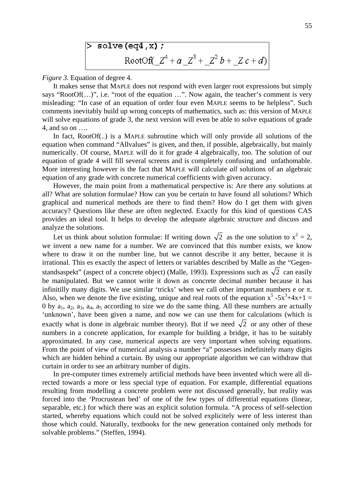> solve (eq4, x);  
RootOf(
$$
Z^4 + a Z^3 + Z^2 b + Z c + d
$$
)

*Figure 3.* Equation of degree 4.

It makes sense that MAPLE does not respond with even larger root expressions but simply says "RootOf(…)", i.e. "root of the equation …". Now again, the teacher's comment is very misleading: "In case of an equation of order four even MAPLE seems to be helpless". Such comments inevitably build up wrong concepts of mathematics, such as: this version of MAPLE will solve equations of grade 3, the next version will even be able to solve equations of grade 4, and so on ….

In fact, RootOf(..) is a MAPLE subroutine which will only provide all solutions of the equation when command "Allvalues" is given, and then, if possible, algebraically, but mainly numerically. Of course, MAPLE will do it for grade 4 algebraically, too. The solution of our equation of grade 4 will fill several screens and is completely confusing and unfathomable. More interesting however is the fact that MAPLE will calculate *all* solutions of an algebraic equation of any grade with concrete numerical coefficients with given accuracy.

However, the main point from a mathematical perspective is: Are there any solutions at all? What are solution formulae? How can you be certain to have found all solutions? Which graphical and numerical methods are there to find them? How do I get them with given accuracy? Questions like these are often neglected. Exactly for this kind of questions CAS provides an ideal tool. It helps to develop the adequate algebraic structure and discuss and analyze the solutions.

Let us think about solution formulae: If writing down  $\sqrt{2}$  as the one solution to  $x^2 = 2$ , we invent a new name for a number. We are convinced that this number exists, we know where to draw it on the number line, but we cannot describe it any better, because it is irrational. This es exactly the aspect of letters or variables described by Malle as the "Gegenstandsaspekt" (aspect of a concrete object) (Malle, 1993). Expressions such as  $\sqrt{2}$  can easily be manipulated. But we cannot write it down as concrete decimal number because it has infinitilly many digits. We use similar 'tricks' when we call other important numbers e or  $\pi$ . Also, when we denote the five existing, unique and real roots of the equation  $x^5 - 5x^3 + 4x + 1 =$ 0 by  $a_1$ ,  $a_2$ ,  $a_3$ ,  $a_4$ ,  $a_5$  according to size we do the same thing. All these numbers are actually 'unknown', have been given a name, and now we can use them for calculations (which is exactly what is done in algebraic number theory). But if we need  $\sqrt{2}$  or any other of these numbers in a concrete application, for example for building a bridge, it has to be suitably approximated. In any case, numerical aspects are very important when solving equations. From the point of view of numerical analysis a number "a" possesses indefinitely many digits which are hidden behind a curtain. By using our appropriate algorithm we can withdraw that curtain in order to see an arbitrary number of digits.

In pre-computer times extremely artificial methods have been invented which were all directed towards a more or less special type of equation. For example, differential equations resulting from modelling a concrete problem were not discussed generally, but reality was forced into the 'Procrustean bed' of one of the few types of differential equations (linear, separable, etc.) for which there was an explicit solution formula. "A process of self-selection started, whereby equations which could not be solved explicitely were of less interest than those which could. Naturally, textbooks for the new generation contained only methods for solvable problems." (Steffen, 1994).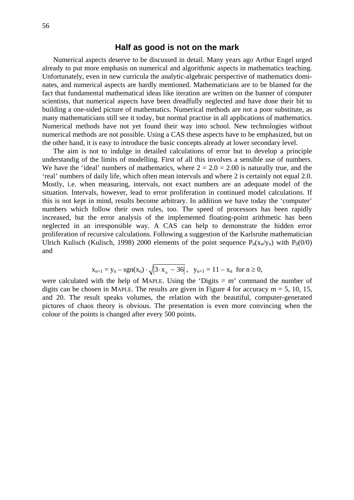# **Half as good is not on the mark**

Numerical aspects deserve to be discussed in detail. Many years ago Arthur Engel urged already to put more emphasis on numerical and algorithmic aspects in mathematics teaching. Unfortunately, even in new curricula the analytic-algebraic perspective of mathematics dominates, and numerical aspects are hardly mentioned. Mathematicians are to be blamed for the fact that fundamental mathematical ideas like iteration are written on the banner of computer scientists, that numerical aspects have been dreadfully neglected and have done their bit to building a one-sided picture of mathematics. Numerical methods are not a poor substitute, as many mathematicians still see it today, but normal practise in all applications of mathematics. Numerical methods have not yet found their way into school. New technologies without numerical methods are not possible. Using a CAS these aspects have to be emphasized, but on the other hand, it is easy to introduce the basic concepts already at lower secondary level.

The aim is not to indulge in detailed calculations of error but to develop a principle understandig of the limits of modelling. First of all this involves a sensible use of numbers. We have the 'ideal' numbers of mathematics, where  $2 = 2.0 = 2.00$  is naturally true, and the 'real' numbers of daily life, which often mean intervals and where 2 is certainly not equal 2.0. Mostly, i.e. when measuring, intervals, not exact numbers are an adequate model of the situation. Intervals, however, lead to error proliferation in continued model calculations. If this is not kept in mind, results become arbitrary. In addition we have today the 'computer' numbers which follow their own rules, too. The speed of processors has been rapidly increased, but the error analysis of the implemented floating-point arithmetic has been neglected in an irresponsible way. A CAS can help to demonstrate the hidden error proliferation of recursive calculations. Following a suggestion of the Karlsruhe mathematician Ulrich Kulisch (Kulisch, 1998) 2000 elements of the point sequence  $P_n(x_n/y_n)$  with  $P_0(0/0)$ and

$$
x_{n+1} = y_n - sgn(x_n) \cdot \sqrt{|3 \cdot x_n - 36|}, \quad y_{n+1} = 11 - x_n \text{ for } n \ge 0,
$$

were calculated with the help of MAPLE. Using the 'Digits  $= m$ ' command the number of digits can be chosen in MAPLE. The results are given in Figure 4 for accuracy  $m = 5$ , 10, 15, and 20. The result speaks volumes, the relation with the beautiful, computer-generated pictures of chaos theory is obvious. The presentation is even more convincing when the colour of the points is changed after every 500 points.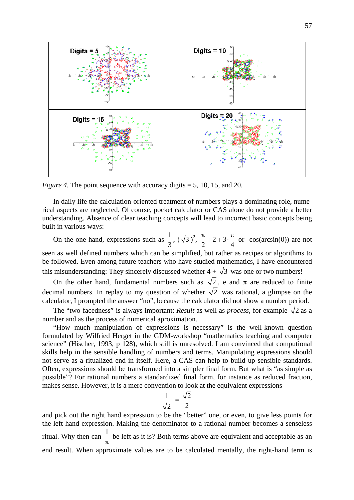

*Figure 4.* The point sequence with accuracy digits = 5, 10, 15, and 20.

In daily life the calculation-oriented treatment of numbers plays a dominating role, numerical aspects are neglected. Of course, pocket calculator or CAS alone do not provide a better understanding. Absence of clear teaching concepts will lead to incorrect basic concepts being built in various ways:

On the one hand, expressions such as  $\frac{1}{2}$ 3  $(\sqrt{3})^2$ ,  $\frac{\pi}{2}$  + 2 + 3  $2 \t 4$  $\frac{\pi}{2} + 2 + 3 \cdot \frac{\pi}{4}$  or cos(arcsin(0)) are not seen as well defined numbers which can be simplified, but rather as recipes or algorithms to be followed. Even among future teachers who have studied mathematics, I have encountered this misunderstanding: They sincerely discussed whether  $4 + \sqrt{3}$  was one or two numbers!

On the other hand, fundamental numbers such as  $\sqrt{2}$ , e and  $\pi$  are reduced to finite decimal numbers. In replay to my question of whether  $\sqrt{2}$  was rational, a glimpse on the calculator, I prompted the answer "no", because the calculator did not show a number period.

The "two-facedness" is always important: *Result* as well as *process*, for example  $\sqrt{2}$  as a number and as the process of numerical aproximation.

"How much manipulation of expressions is necessary" is the well-known question formulated by Wilfried Herget in the GDM-workshop "mathematics teaching and computer science" (Hischer, 1993, p 128), which still is unresolved. I am convinced that computional skills help in the sensible handling of numbers and terms. Manipulating expressions should not serve as a ritualized end in itself. Here, a CAS can help to build up sensible standards. Often, expressions should be transformed into a simpler final form. But what is "as simple as possible"? For rational numbers a standardized final form, for instance as reduced fraction, makes sense. However, it is a mere convention to look at the equivalent expressions

$$
\frac{1}{\sqrt{2}} = \frac{\sqrt{2}}{2}
$$

and pick out the right hand expression to be the "better" one, or even, to give less points for the left hand expression. Making the denominator to a rational number becomes a senseless ritual. Why then can  $\frac{1}{1}$ π be left as it is? Both terms above are equivalent and acceptable as an end result. When approximate values are to be calculated mentally, the right-hand term is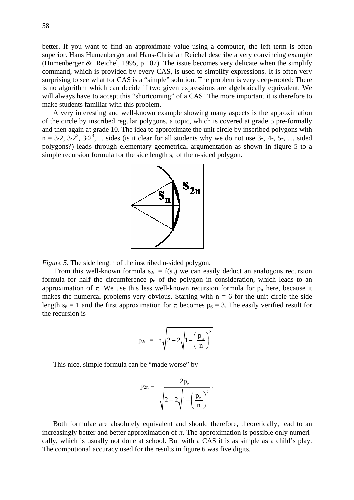better. If you want to find an approximate value using a computer, the left term is often superior. Hans Humenberger and Hans-Christian Reichel describe a very convincing example (Humenberger & Reichel, 1995, p 107). The issue becomes very delicate when the simplify command, which is provided by every CAS, is used to simplify expressions. It is often very surprising to see what for CAS is a "simple" solution. The problem is very deep-rooted: There is no algorithm which can decide if two given expressions are algebraically equivalent. We will always have to accept this "shortcoming" of a CAS! The more important it is therefore to make students familiar with this problem.

A very interesting and well-known example showing many aspects is the approximation of the circle by inscribed regular polygons, a topic, which is covered at grade 5 pre-formally and then again at grade 10. The idea to approximate the unit circle by inscribed polygons with  $n = 3.2, 3.2^2, 3.2^3, ...$  sides (is it clear for all students why we do not use 3-, 4-, 5-, ... sided polygons?) leads through elementary geometrical argumentation as shown in figure 5 to a simple recursion formula for the side length  $s_n$  of the n-sided polygon.



*Figure 5.* The side length of the inscribed n-sided polygon.

From this well-known formula  $s_{2n} = f(s_n)$  we can easily deduct an analogous recursion formula for half the circumference  $p_n$  of the polygon in consideration, which leads to an approximation of  $\pi$ . We use this less well-known recursion formula for  $p_n$  here, because it makes the numercal problems very obvious. Starting with  $n = 6$  for the unit circle the side length  $s_6 = 1$  and the first approximation for  $\pi$  becomes  $p_6 = 3$ . The easily verified result for the recursion is

$$
p_{2n} = n\sqrt{2-2\sqrt{1-\left(\frac{p_n}{n}\right)^2}}.
$$

This nice, simple formula can be "made worse" by

$$
p_{2n}=\frac{2p_n}{\sqrt{2+2\sqrt{1-\left(\frac{p_n}{n}\right)^2}}}~.
$$

Both formulae are absolutely equivalent and should therefore, theoretically, lead to an increasingly better and better approximation of  $\pi$ . The approximation is possible only numerically, which is usually not done at school. But with a CAS it is as simple as a child's play. The computional accuracy used for the results in figure 6 was five digits.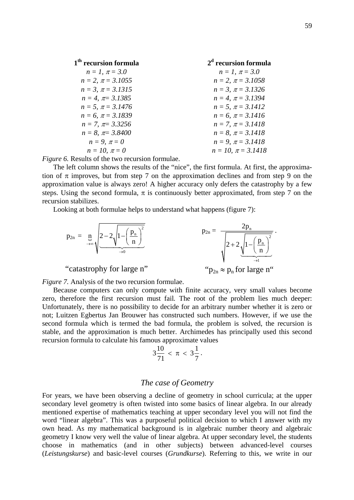| 1 <sup>th</sup> recursion formula | $2d$ recursion formula    |
|-----------------------------------|---------------------------|
| $n = 1, \pi = 3.0$                | $n = 1, \pi = 3.0$        |
| $n = 2$ , $\pi = 3.1055$          | $n = 2$ , $\pi = 3.1058$  |
| $n = 3$ , $\pi = 3.1315$          | $n = 3$ , $\pi = 3.1326$  |
| $n = 4$ , $\pi = 3.1385$          | $n = 4$ , $\pi = 3.1394$  |
| $n = 5$ , $\pi = 3.1476$          | $n = 5$ , $\pi = 3.1412$  |
| $n = 6$ , $\pi = 3.1839$          | $n = 6$ , $\pi = 3.1416$  |
| $n = 7$ , $\pi = 3.3256$          | $n = 7$ , $\pi = 3.1418$  |
| $n = 8$ , $\pi = 3.8400$          | $n = 8$ , $\pi = 3.1418$  |
| $n = 9, \pi = 0$                  | $n = 9$ , $\pi = 3.1418$  |
| $n = 10, \pi = 0$                 | $n = 10$ , $\pi = 3.1418$ |

*Figure 6.* Results of the two recursion formulae.

The left column shows the results of the "nice", the first formula. At first, the approximation of  $\pi$  improves, but from step 7 on the approximation declines and from step 9 on the approximation value is always zero! A higher accuracy only defers the catastrophy by a few steps. Using the second formula,  $\pi$  is continuously better approximated, from step 7 on the recursion stabilizes.

Looking at both formulae helps to understand what happens (figure 7):

$$
p_{2n} = \underbrace{n}_{\rightarrow \infty} \sqrt{2 - 2\sqrt{1 - \left(\frac{p_n}{n}\right)^2 \over \rightarrow{0}}}\qquad \qquad p_{2n} = \frac{2p_n}{\sqrt{2 + 2\sqrt{1 - \left(\frac{p_n}{n}\right)^2 \over \rightarrow{1}}}}\,.
$$

"catastrophy for large n"

"
$$
p_{2n} \approx p_n
$$
 for large n"

*Figure 7.* Analysis of the two recursion formulae.

Because computers can only compute with finite accuracy, very small values become zero, therefore the first recursion must fail*.* The root of the problem lies much deeper: Unfortunately, there is no possibility to decide for an arbitrary number whether it is zero or not; Luitzen Egbertus Jan Brouwer has constructed such numbers. However, if we use the second formula which is termed the bad formula, the problem is solved, the recursion is stable, and the approximation is much better. Archimedes has principally used this second recursion formula to calculate his famous approximate values

$$
3\frac{10}{71} < \pi < 3\frac{1}{7}.
$$

#### *The case of Geometry*

For years, we have been observing a decline of geometry in school curricula; at the upper secondary level geometry is often twisted into some basics of linear algebra. In our already mentioned expertise of mathematics teaching at upper secondary level you will not find the word "linear algebra". This was a purposeful political decision to which I answer with my own head. As my mathematical background is in algebraic number theory and algebraic geometry I know very well the value of linear algebra. At upper secondary level, the students choose in mathematics (and in other subjects) between advanced-level courses (*Leistungskurse*) and basic-level courses (*Grundkurse*). Referring to this, we write in our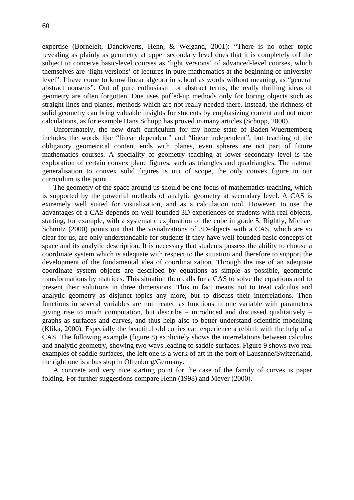expertise (Borneleit, Danckwerts, Henn, & Weigand, 2001): "There is no other topic revealing as plainly as geometry at upper secondary level does that it is completely off the subject to conceive basic-level courses as 'light versions' of advanced-level courses, which themselves are 'light versions' of lectures in pure mathematics at the beginning of university level". I have come to know linear algebra in school as words without meaning, as "general abstract nonsens". Out of pure enthusiasm for abstract terms, the really thrilling ideas of geometry are often forgotten. One uses puffed-up methods only for boring objects such as straight lines and planes, methods which are not really needed there. Instead, the richness of solid geometry can bring valuable insights for students by emphasizing content and not mere calculations, as for example Hans Schupp has proved in many articles (Schupp, 2000).

Unfortunately, the new draft curriculum for my home state of Baden-Wuerttemberg includes the words like "linear dependent" and "linear independent", but teaching of the obligatory geometrical content ends with planes, even spheres are not part of future mathematics courses. A speciality of geometry teaching at lower secondary level is the exploration of certain convex plane figures, such as triangles and quadriangles. The natural generalisation to convex solid figures is out of scope, the only convex figure in our curriculum is the point.

The geometry of the space around us should be one focus of mathematics teaching, which is supported by the powerful methods of analytic geometry at secondary level. A CAS is extremely well suited for visualization, and as a calculation tool. However, to use the advantages of a CAS depends on well-founded 3D-experiences of students with real objects, starting, for example, with a systematic exploration of the cube in grade 5. Rightly, Michael Schmitz (2000) points out that the visualizations of 3D-objects with a CAS, which are so clear for us, are only understandable for students if they have well-founded basic concepts of space and its analytic description. It is necessary that students possess the ability to choose a coordinate system which is adequate with respect to the situation and therefore to support the development of the fundamental idea of coordinatization. Through the use of an adequate coordinate system objects are described by equations as simple as possible, geometric transformations by matrices. This situation then calls for a CAS to solve the equations and to present their solutions in three dimensions. This in fact means not to treat calculus and analytic geometry as disjunct topics any more, but to discuss their interrelations. Then functions in several variables are not treated as functions in one variable with parameters giving rise to much computation, but describe – introduced and discussed qualitatively – graphs as surfaces and curves, and thus help also to better understand scientific modelling (Klika, 2000). Especially the beautiful old conics can experience a rebirth with the help of a CAS. The following example (figure 8) explicitely shows the interrelations between calculus and analytic geometry, showing two ways leading to saddle surfaces. Figure 9 shows two real examples of saddle surfaces, the left one is a work of art in the port of Lausanne/Switzerland, the right one is a bus stop in Offenburg/Germany.

A concrete and very nice starting point for the case of the family of curves is paper folding. For further suggestions compare Henn (1998) and Meyer (2000).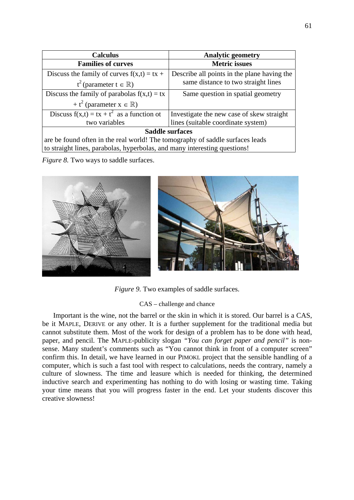| <b>Calculus</b>                                                               | <b>Analytic geometry</b>                    |
|-------------------------------------------------------------------------------|---------------------------------------------|
| <b>Families of curves</b>                                                     | <b>Metric</b> issues                        |
| Discuss the family of curves $f(x,t) = tx +$                                  | Describe all points in the plane having the |
| $t^2$ (parameter $t \in \mathbb{R}$ )                                         | same distance to two straight lines         |
| Discuss the family of parabolas $f(x,t) = tx$                                 | Same question in spatial geometry           |
| + $t^2$ (parameter $x \in \mathbb{R}$ )                                       |                                             |
| Discuss $f(x,t) = tx + t^2$ as a function of                                  | Investigate the new case of skew straight   |
| two variables                                                                 | lines (suitable coordinate system)          |
| <b>Saddle surfaces</b>                                                        |                                             |
| are be found often in the real world! The tomography of saddle surfaces leads |                                             |
| to straight lines, parabolas, hyperbolas, and many interesting questions!     |                                             |

*Figure 8.* Two ways to saddle surfaces.



*Figure 9.* Two examples of saddle surfaces.

### CAS – challenge and chance

Important is the wine, not the barrel or the skin in which it is stored. Our barrel is a CAS, be it MAPLE, DERIVE or any other. It is a further supplement for the traditional media but cannot substitute them. Most of the work for design of a problem has to be done with head, paper, and pencil. The MAPLE-publicity slogan *"You can forget paper and pencil"* is nonsense. Many student's comments such as "You cannot think in front of a computer screen" confirm this. In detail, we have learned in our PIMOKL project that the sensible handling of a computer, which is such a fast tool with respect to calculations, needs the contrary, namely a culture of slowness. The time and leasure which is needed for thinking, the determined inductive search and experimenting has nothing to do with losing or wasting time. Taking your time means that you will progress faster in the end. Let your students discover this creative slowness!